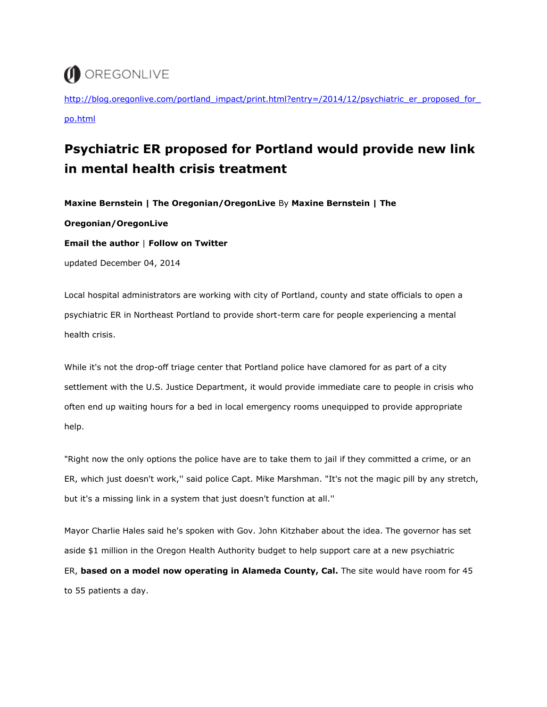## OREGONLIVE

http://blog.oregonlive.com/portland\_impact/print.html?entry=/2014/12/psychiatric\_er\_proposed\_for [po.html](http://blog.oregonlive.com/portland_impact/print.html?entry=/2014/12/psychiatric_er_proposed_for_po.html)

## **Psychiatric ER proposed for Portland would provide new link in mental health crisis treatment**

**Maxine Bernstein | The Oregonian/OregonLive** By **Maxine Bernstein | The** 

**Oregonian/OregonLive** 

**Email the author** | **Follow on Twitter**

updated December 04, 2014

Local hospital administrators are working with city of Portland, county and state officials to open a psychiatric ER in Northeast Portland to provide short-term care for people experiencing a mental health crisis.

While it's not the drop-off triage center that Portland police have clamored for as part of a city settlement with the U.S. Justice Department, it would provide immediate care to people in crisis who often end up waiting hours for a bed in local emergency rooms unequipped to provide appropriate help.

"Right now the only options the police have are to take them to jail if they committed a crime, or an ER, which just doesn't work,'' said police Capt. Mike Marshman. "It's not the magic pill by any stretch, but it's a missing link in a system that just doesn't function at all.''

Mayor Charlie Hales said he's spoken with Gov. John Kitzhaber about the idea. The governor has set aside \$1 million in the Oregon Health Authority budget to help support care at a new psychiatric ER, **based on a model now operating in Alameda County, Cal.** The site would have room for 45 to 55 patients a day.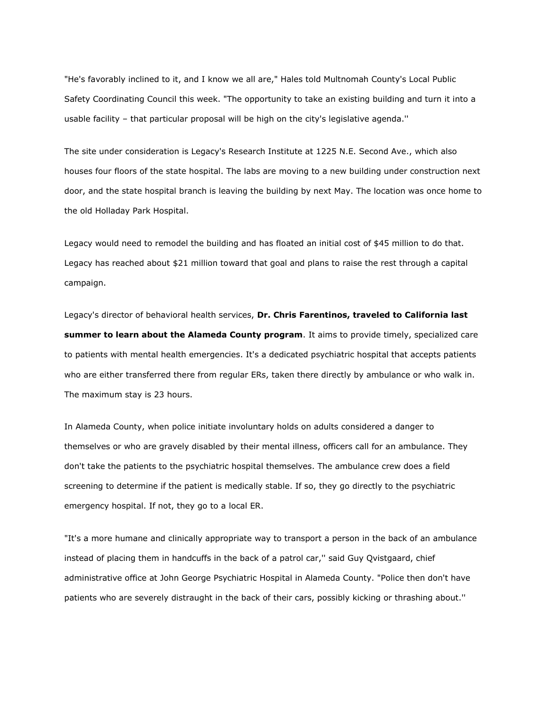"He's favorably inclined to it, and I know we all are," Hales told Multnomah County's Local Public Safety Coordinating Council this week. "The opportunity to take an existing building and turn it into a usable facility – that particular proposal will be high on the city's legislative agenda.''

The site under consideration is Legacy's Research Institute at 1225 N.E. Second Ave., which also houses four floors of the state hospital. The labs are moving to a new building under construction next door, and the state hospital branch is leaving the building by next May. The location was once home to the old Holladay Park Hospital.

Legacy would need to remodel the building and has floated an initial cost of \$45 million to do that. Legacy has reached about \$21 million toward that goal and plans to raise the rest through a capital campaign.

Legacy's director of behavioral health services, **Dr. Chris Farentinos, traveled to California last summer to learn about the Alameda County program**. It aims to provide timely, specialized care to patients with mental health emergencies. It's a dedicated psychiatric hospital that accepts patients who are either transferred there from regular ERs, taken there directly by ambulance or who walk in. The maximum stay is 23 hours.

In Alameda County, when police initiate involuntary holds on adults considered a danger to themselves or who are gravely disabled by their mental illness, officers call for an ambulance. They don't take the patients to the psychiatric hospital themselves. The ambulance crew does a field screening to determine if the patient is medically stable. If so, they go directly to the psychiatric emergency hospital. If not, they go to a local ER.

"It's a more humane and clinically appropriate way to transport a person in the back of an ambulance instead of placing them in handcuffs in the back of a patrol car,'' said Guy Qvistgaard, chief administrative office at John George Psychiatric Hospital in Alameda County. "Police then don't have patients who are severely distraught in the back of their cars, possibly kicking or thrashing about.''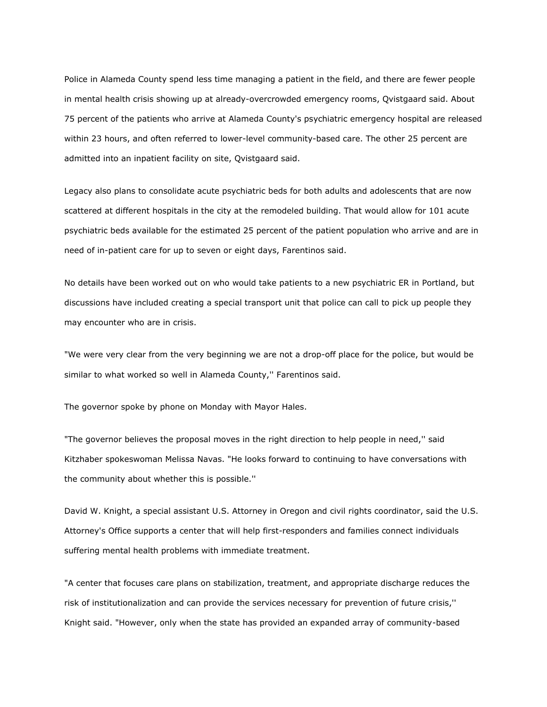Police in Alameda County spend less time managing a patient in the field, and there are fewer people in mental health crisis showing up at already-overcrowded emergency rooms, Qvistgaard said. About 75 percent of the patients who arrive at Alameda County's psychiatric emergency hospital are released within 23 hours, and often referred to lower-level community-based care. The other 25 percent are admitted into an inpatient facility on site, Qvistgaard said.

Legacy also plans to consolidate acute psychiatric beds for both adults and adolescents that are now scattered at different hospitals in the city at the remodeled building. That would allow for 101 acute psychiatric beds available for the estimated 25 percent of the patient population who arrive and are in need of in-patient care for up to seven or eight days, Farentinos said.

No details have been worked out on who would take patients to a new psychiatric ER in Portland, but discussions have included creating a special transport unit that police can call to pick up people they may encounter who are in crisis.

"We were very clear from the very beginning we are not a drop-off place for the police, but would be similar to what worked so well in Alameda County,'' Farentinos said.

The governor spoke by phone on Monday with Mayor Hales.

"The governor believes the proposal moves in the right direction to help people in need,'' said Kitzhaber spokeswoman Melissa Navas. "He looks forward to continuing to have conversations with the community about whether this is possible.''

David W. Knight, a special assistant U.S. Attorney in Oregon and civil rights coordinator, said the U.S. Attorney's Office supports a center that will help first-responders and families connect individuals suffering mental health problems with immediate treatment.

"A center that focuses care plans on stabilization, treatment, and appropriate discharge reduces the risk of institutionalization and can provide the services necessary for prevention of future crisis,'' Knight said. "However, only when the state has provided an expanded array of community-based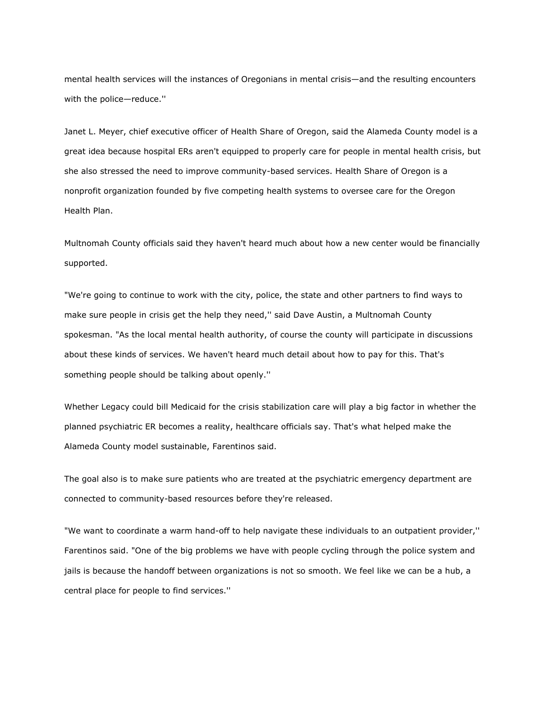mental health services will the instances of Oregonians in mental crisis—and the resulting encounters with the police—reduce.''

Janet L. Meyer, chief executive officer of Health Share of Oregon, said the Alameda County model is a great idea because hospital ERs aren't equipped to properly care for people in mental health crisis, but she also stressed the need to improve community-based services. Health Share of Oregon is a nonprofit organization founded by five competing health systems to oversee care for the Oregon Health Plan.

Multnomah County officials said they haven't heard much about how a new center would be financially supported.

"We're going to continue to work with the city, police, the state and other partners to find ways to make sure people in crisis get the help they need,'' said Dave Austin, a Multnomah County spokesman. "As the local mental health authority, of course the county will participate in discussions about these kinds of services. We haven't heard much detail about how to pay for this. That's something people should be talking about openly.''

Whether Legacy could bill Medicaid for the crisis stabilization care will play a big factor in whether the planned psychiatric ER becomes a reality, healthcare officials say. That's what helped make the Alameda County model sustainable, Farentinos said.

The goal also is to make sure patients who are treated at the psychiatric emergency department are connected to community-based resources before they're released.

"We want to coordinate a warm hand-off to help navigate these individuals to an outpatient provider,'' Farentinos said. "One of the big problems we have with people cycling through the police system and jails is because the handoff between organizations is not so smooth. We feel like we can be a hub, a central place for people to find services.''